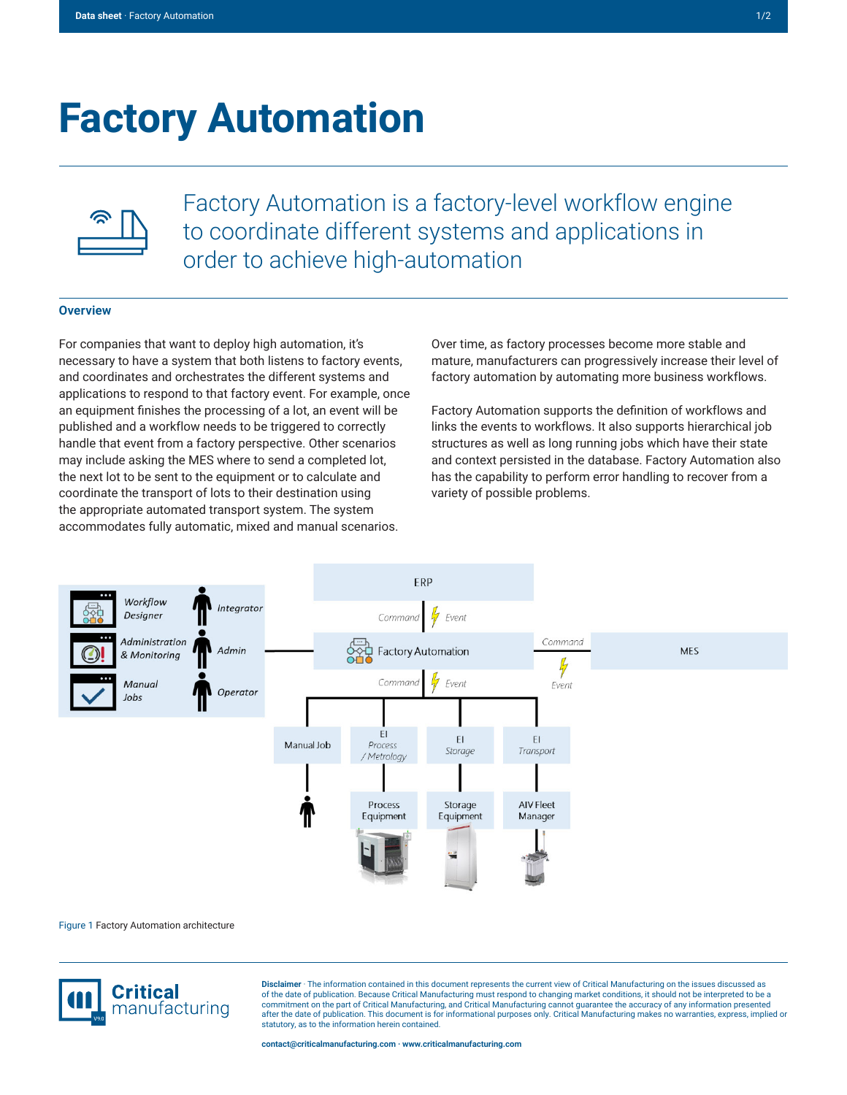# **Factory Automation**



Factory Automation is a factory-level workflow engine to coordinate different systems and applications in order to achieve high-automation

### **Overview**

For companies that want to deploy high automation, it's necessary to have a system that both listens to factory events, and coordinates and orchestrates the different systems and applications to respond to that factory event. For example, once an equipment finishes the processing of a lot, an event will be published and a workflow needs to be triggered to correctly handle that event from a factory perspective. Other scenarios may include asking the MES where to send a completed lot, the next lot to be sent to the equipment or to calculate and coordinate the transport of lots to their destination using the appropriate automated transport system. The system accommodates fully automatic, mixed and manual scenarios.

Over time, as factory processes become more stable and mature, manufacturers can progressively increase their level of factory automation by automating more business workflows.

Factory Automation supports the definition of workflows and links the events to workflows. It also supports hierarchical job structures as well as long running jobs which have their state and context persisted in the database. Factory Automation also has the capability to perform error handling to recover from a variety of possible problems.



#### Figure 1 Factory Automation architecture



**Disclaimer** · The information contained in this document represents the current view of Critical Manufacturing on the issues discussed as of the date of publication. Because Critical Manufacturing must respond to changing market conditions, it should not be interpreted to be a commitment on the part of Critical Manufacturing, and Critical Manufacturing cannot guarantee the accuracy of any information presented after the date of publication. This document is for informational purposes only. Critical Manufacturing makes no warranties, express, implied or statutory, as to the information herein contained.